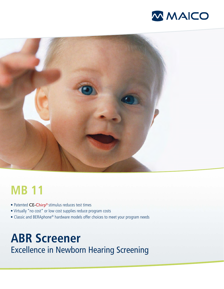



# **MB 11**

- Patented CE-Chirp® stimulus reduces test times
- Virtually "no cost" or low cost supplies reduce program costs
- Classic and BERAphone® hardware models offer choices to meet your program needs

# **ABR Screener** Excellence in Newborn Hearing Screening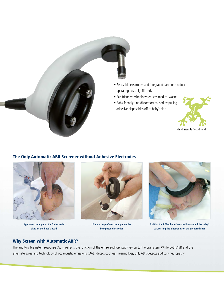

# The Only Automatic ABR Screener without Adhesive Electrodes



**Apply electrode gel at the 3 electrode sites on the baby's head**



**Place a drop of electrode gel on the integrated electrodes**



**Position the BERAphone® ear cushion around the baby's ear, resting the electrodes on the prepared sites**

# Why Screen with Automatic ABR?

The auditory brainstem response (ABR) reflects the function of the entire auditory pathway up to the brainstem. While both ABR and the alternate screening technology of otoacoustic emissions (OAE) detect cochlear hearing loss, only ABR detects auditory neuropathy.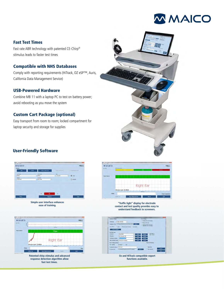

## Fast Test Times

Fast rate ABR technology with patented CE-Chirp® stimulus leads to faster test times

### Compatible with NHS Databases

Comply with reporting requirements (HiTrack, OZ eSP™, Auris, California Data Management Service)

### USB-Powered Hardware

Combine MB 11 with a laptop PC to test on battery power; avoid rebooting as you move the system

## Custom Cart Package (optional)

Easy transport from room to room; locked compartment for laptop security and storage for supplies



## User-Friendly Software



**Simple user interface enhances ease of training.**



**response detection algorithm allow fast test times.**



**"Traffic light" display for electrode contact and test quality provides easy to understand feedback to screeners.**



**Oz and HiTrack compatible export functions available.**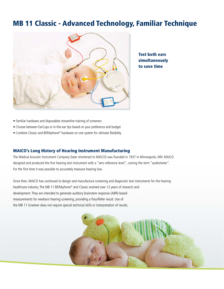# MB 11 Classic - Advanced Technology, Familiar Technique



Test both ears simultaneously to save time

- Familiar hardware and disposables streamline training of screeners
- Choose between EarCups or in-the-ear tips based on your preference and budget
- Combine Classic and BERAphone® hardware on one system for ultimate flexibility

#### MAICO's Long History of Hearing Instrument Manufacturing

The Medical Acoustic Instrument Company (later shortened to MAICO) was founded in 1937 in Minneapolis, MN. MAICO designed and produced the first hearing test instrument with a "zero reference level", coining the term "audiometer". For the first time it was possible to accurately measure hearing loss.

Since then, MAICO has continued to design and manufacture screening and diagnostic test instruments for the hearing healthcare industry. The MB 11 BERAphone® and Classic evolved over 12 years of research and development. They are intended to generate auditory brainstem response (ABR)-based measurements for newborn hearing screening, providing a Pass/Refer result. Use of the MB 11 Screener does not require special technical skills or interpretation of results.

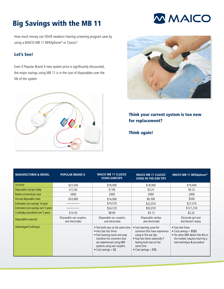# Big Savings with the MB 11

How much money can YOUR newborn hearing screening program save by using a MAICO MB 11 BERAphone® or Classic?

# Let's See!

Even if Popular Brand X new system price is significantly discounted, the major savings using MB 11 is in the cost of disposables over the life of the system





# Think your current system is too new for replacement?

Think again!

| <b>MANUFACTURER &amp; MODEL</b>     | <b>POPULAR BRAND X</b>                    | <b>MAICO MB 11 CLASSIC</b><br><b>USING EARCUPS</b>                                                                                                                                                                | <b>MAICO MB 11 CLASSIC</b><br><b>USING IN-THE-EAR TIPS</b>                                                                                                                                    | MAICO MB 11 BERAphone <sup>®</sup>                                                                                                                     |
|-------------------------------------|-------------------------------------------|-------------------------------------------------------------------------------------------------------------------------------------------------------------------------------------------------------------------|-----------------------------------------------------------------------------------------------------------------------------------------------------------------------------------------------|--------------------------------------------------------------------------------------------------------------------------------------------------------|
| List price                          | \$23,500                                  | \$18,990                                                                                                                                                                                                          | \$18,990                                                                                                                                                                                      | \$19,690                                                                                                                                               |
| Disposable cost per baby            | \$12.00                                   | \$7.00                                                                                                                                                                                                            | \$3.25                                                                                                                                                                                        | \$0.25                                                                                                                                                 |
| Babies screened per year            | 2000                                      | 2000                                                                                                                                                                                                              | 2000                                                                                                                                                                                          | 2000                                                                                                                                                   |
| Annual disposable costs             | \$24,000                                  | \$14,000                                                                                                                                                                                                          | \$6,500                                                                                                                                                                                       | \$500                                                                                                                                                  |
| Estimated cost savings 1st year     |                                           | \$14,510                                                                                                                                                                                                          | \$22,010                                                                                                                                                                                      | \$27,310                                                                                                                                               |
| Estimated cost savings over 5 years |                                           | \$54,510                                                                                                                                                                                                          | \$92,010                                                                                                                                                                                      | \$121,310                                                                                                                                              |
| Cost/baby amortized over 5 years    | \$14.35                                   | \$8.90                                                                                                                                                                                                            | \$5.15                                                                                                                                                                                        | \$2.22                                                                                                                                                 |
| Disposables required                | Disposable ear couplers<br>and electrodes | Disposable ear couplers<br>and electrodes                                                                                                                                                                         | Disposable eartips<br>and electrodes                                                                                                                                                          | Electrode gel and<br>disinfectant wipes                                                                                                                |
| Advantages/Challenges               |                                           | • Test both ears at the same time<br>• Very fast test times<br>• Fast learning curve and easy<br>transition for screeners that<br>are experienced using ABR<br>systems using ear couplers<br>• Cost savings $= $$ | • Fast learning curve for<br>screeners that have experience<br>using in the ear tips<br>• Fast test times especially if<br>testing both ears at the<br>same time<br>• Cost savings $=$ \$\$\$ | • Fast test times<br>• Cost savings $=$ \$\$\$\$<br>. No other ABR device like this in<br>the market; requires learning a<br>new technique & procedure |

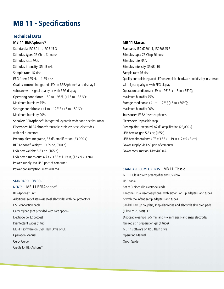# MB 11 - **Specifications**

## Technical Data

#### **MB 11 BERAphone®**

Standards: IEC 601-1, IEC 645-3 Stimulus type: CE-Chirp Stimulus Stimulus rate: 93/s Stimulus intensity: 35 dB nHL Sample rate: 16 kHz EEG filter: 125 Hz – 1.25 kHz Quality control: Integrated LED on BERAphone® and display in software with signal quality or with EEG display Operating conditions:  $+59$  to  $+95^{\circ}$ F, ( $+15$  to  $+35^{\circ}$ C); Maximum humidity 75% Storage conditions:  $+41$  to  $+122$ °F, ( $+5$  to  $+50$ °C); Maximum humidity 90% Speaker: BERAphone®: integrated, dynamic wideband speaker (8Ω) Electrodes: BERAphone®: reusable, stainless steel electrodes with gel protectors. Preamplifier: Integrated, 87 dB amplification (23,000 x) BERAphone® weight: 10.59 oz, (300 g) USB box weight: 5.83 oz, (165 g) USB box dimensions: 4.73 x 3.55 x 1.19 in, (12 x 9 x 3 cm) Power supply: via USB port of computer Power consumption: max 400 mA

#### STANDARD COMPO-

NENTS - MB 11 BERAphone® BERAphone® unit Additional set of stainless steel electrodes with gel protectors USB connection cable Carrying bag (not provided with cart option) Electrode gel (2 bottles) Disinfectant wipes (1 tub) MB-11 software on USB Flash Drive or CD Operation Manual Quick Guide Cradle for BERAphone®

#### **MB 11 Classic**

Standards: IEC 60601-1, IEC 60645-3 Stimulus type: CE-Chirp Stimulus Stimulus rate: 93/s Stimulus Intensity: 35 dB nHL Sample rate: 16 kHz Quality control: Integrated LED on Amplifier hardware and display in software with signal quality or with EEG display Operation conditions:  $+59$  to  $+95^{\circ}F$ , ( $+15$  to  $+35^{\circ}C$ ); Maximum humidity 75% Storage conditions:  $+41$  to  $+122$ °F,  $(+5$  to  $+50$ °C); Maximum humidity 90% Transducer: ER3A insert earphones Electrodes: Disposable snap Preamplifier: Integrated, 87 dB amplification (23,000 x) USB box weight: 5.83 oz, (165g) USB box dimensions: 4.73 x 3.55 x 1.19 in, (12 x 9 x 3 cm) Power supply: Via USB port of computer Power consumption: Max 400 mA

#### STANDARD COMPONENTS - MB 11 Classic

MB 11 Classic with preamplifier and USB box USB cable Set of 3 pinch clip electrode leads Ear-tone ER3a insert earphones with either EarCup adapters and tubes or with the infant eartip adapters and tubes Sanibel EarCup couplers, snap electrodes and electrode skin prep pads (1 box of 20 sets) OR Disposable eartips (3-5 mm and 4-7 mm sizes) and snap electrodes NuPrep skin preparation gel (1 tube) MB 11 software on USB flash drive Operating Manual Quick Guide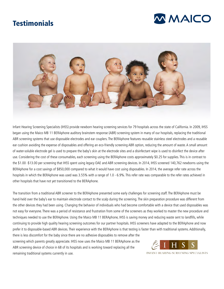# **Testimonials**





Infant Hearing Screening Specialists (IHSS) provide newborn hearing screening services for 79 hospitals across the state of California. In 2009, IHSS began using the Maico MB 11 BERAphone auditory brainstem response (ABR) screening system in many of our hospitals, replacing the traditional ABR screening systems that use disposable electrodes and ear couplers. The BERAphone features reusable stainless steel electrodes and a reusable ear cushion avoiding the expense of disposables and offering an eco-friendly screening ABR option, reducing the amount of waste. A small amount of water-soluble electrode gel is used to prepare the baby's skin at the electrode sites and a disinfectant wipe is used to disinfect the device after use. Considering the cost of these consumables, each screening using the BERAphone costs approximately \$0.25 for supplies. This is in contrast to the \$1.00 -\$13.00 per screening that IHSS spent using legacy OAE and ABR screening devices. In 2014, IHSS screened 140,762 newborns using the BERAphone for a cost savings of \$850,000 compared to what it would have cost using disposables. In 2014, the average refer rate across the hospitals in which the BERAphone was used was 3.55% with a range of 1.0 - 6.9%. This refer rate was comparable to the refer rates achieved in other hospitals that have not yet transitioned to the BERAphone.

The transition from a traditional ABR screener to the BERAphone presented some early challenges for screening staff. The BERAphone must be hand-held over the baby's ear to maintain electrode contact to the scalp during the screening. The skin preparation procedure was different from the other devices they had been using. Changing the behavior of individuals who had become comfortable with a device that used disposables was not easy for everyone. There was a period of resistance and frustration from some of the screeners as they worked to master the new procedure and techniques needed to use the BERAphone. Using the Maico MB 11 BERAphone, IHSS is saving money and reducing waste sent to landfills, while continuing to provide high quality hearing screening outcomes for our partner hospitals. IHSS screeners have adapted to the BERAphone and now prefer it to disposable-based ABR devices. Their experience with the BERAphone is that testing is faster than with traditional systems. Additionally,

there is less discomfort for the baby since there are no adhesive disposables to remove after the screening which parents greatly appreciate. IHSS now uses the Maico MB 11 BERAphone as the ABR screening device of choice in 68 of its hospitals and is working toward replacing all the remaining traditional systems currently in use.



INFANT HEARING SCREENING SPECIALISTS